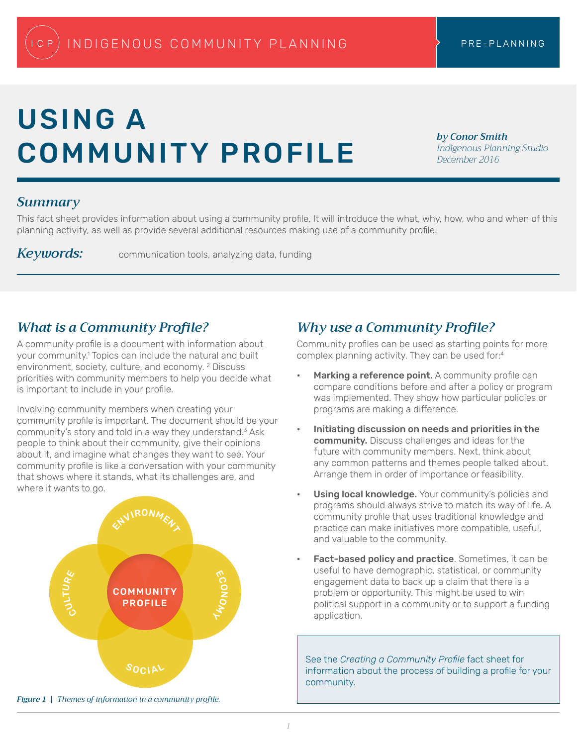# USING A COMMUNITY PROFILE

*by Conor Smith Indigenous Planning Studio December 2016*

#### *Summary*

This fact sheet provides information about using a community profile. It will introduce the what, why, how, who and when of this planning activity, as well as provide several additional resources making use of a community profile.

*Keywords:* communication tools, analyzing data, funding

# *What is a Community Profile?*

A community profile is a document with information about your community.<sup>1</sup> Topics can include the natural and built environment, society, culture, and economy. <sup>2</sup> Discuss priorities with community members to help you decide what is important to include in your profile.

Involving community members when creating your community profile is important. The document should be your community's story and told in a way they understand. $3$  Ask people to think about their community, give their opinions about it, and imagine what changes they want to see. Your community profile is like a conversation with your community that shows where it stands, what its challenges are, and where it wants to go.



*Figure 1 | Themes of information in a community profile.*

## *Why use a Community Profile?*

Community profiles can be used as starting points for more complex planning activity. They can be used for:<sup>4</sup>

- Marking a reference point. A community profile can compare conditions before and after a policy or program was implemented. They show how particular policies or programs are making a difference.
- Initiating discussion on needs and priorities in the community. Discuss challenges and ideas for the future with community members. Next, think about any common patterns and themes people talked about. Arrange them in order of importance or feasibility.
- Using local knowledge. Your community's policies and programs should always strive to match its way of life. A community profile that uses traditional knowledge and practice can make initiatives more compatible, useful, and valuable to the community.
- Fact-based policy and practice. Sometimes, it can be useful to have demographic, statistical, or community engagement data to back up a claim that there is a problem or opportunity. This might be used to win political support in a community or to support a funding application.

See the *Creating a Community Profile* fact sheet for information about the process of building a profile for your community.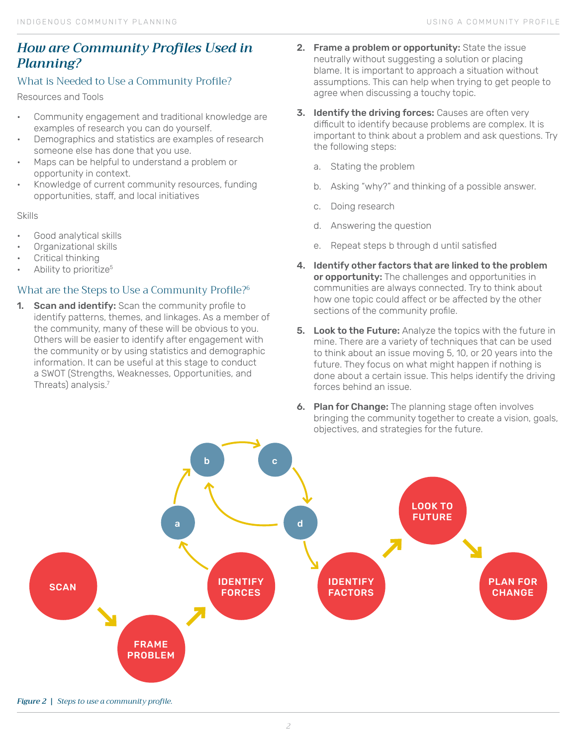# *How are Community Profiles Used in Planning?*

#### What is Needed to Use a Community Profile?

Resources and Tools

- Community engagement and traditional knowledge are examples of research you can do yourself.
- Demographics and statistics are examples of research someone else has done that you use.
- Maps can be helpful to understand a problem or opportunity in context.
- Knowledge of current community resources, funding opportunities, staff, and local initiatives

Skills

- Good analytical skills
- Organizational skills
- Critical thinking
- Ability to prioritize<sup>5</sup>

#### What are the Steps to Use a Community Profile?<sup>6</sup>

1. Scan and identify: Scan the community profile to identify patterns, themes, and linkages. As a member of the community, many of these will be obvious to you. Others will be easier to identify after engagement with the community or by using statistics and demographic information. It can be useful at this stage to conduct a SWOT (Strengths, Weaknesses, Opportunities, and Threats) analysis.<sup>7</sup>

- 2. Frame a problem or opportunity: State the issue neutrally without suggesting a solution or placing blame. It is important to approach a situation without assumptions. This can help when trying to get people to agree when discussing a touchy topic.
- 3. Identify the driving forces: Causes are often very difficult to identify because problems are complex. It is important to think about a problem and ask questions. Try the following steps:
	- a. Stating the problem
	- b. Asking "why?" and thinking of a possible answer.
	- c. Doing research
	- d. Answering the question
	- e. Repeat steps b through d until satisfied
- 4. Identify other factors that are linked to the problem or opportunity: The challenges and opportunities in communities are always connected. Try to think about how one topic could affect or be affected by the other sections of the community profile.
- **5.** Look to the Future: Analyze the topics with the future in mine. There are a variety of techniques that can be used to think about an issue moving 5, 10, or 20 years into the future. They focus on what might happen if nothing is done about a certain issue. This helps identify the driving forces behind an issue.
- **6. Plan for Change:** The planning stage often involves bringing the community together to create a vision, goals, objectives, and strategies for the future.



*Figure 2 | Steps to use a community profile.*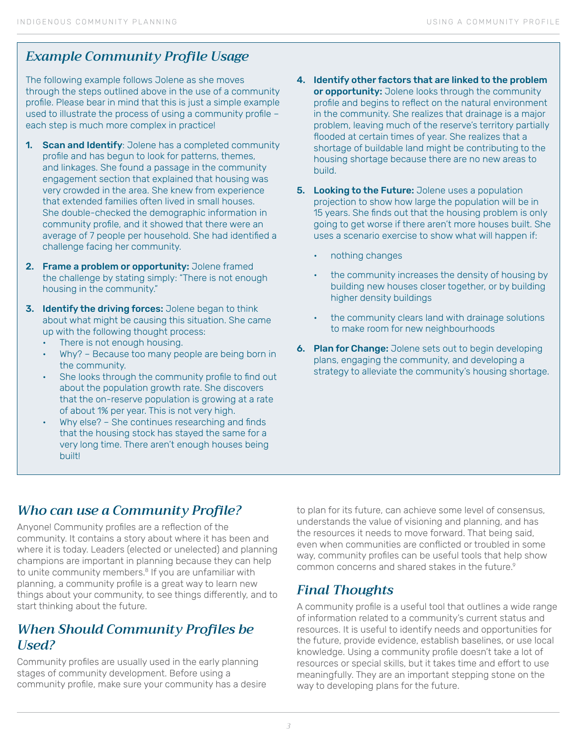# *Example Community Profile Usage*

The following example follows Jolene as she moves through the steps outlined above in the use of a community profile. Please bear in mind that this is just a simple example used to illustrate the process of using a community profile – each step is much more complex in practice!

- 1. Scan and Identify: Jolene has a completed community profile and has begun to look for patterns, themes, and linkages. She found a passage in the community engagement section that explained that housing was very crowded in the area. She knew from experience that extended families often lived in small houses. She double-checked the demographic information in community profile, and it showed that there were an average of 7 people per household. She had identified a challenge facing her community.
- 2. Frame a problem or opportunity: Jolene framed the challenge by stating simply: "There is not enough housing in the community."
- **3.** Identify the driving forces: Jolene began to think about what might be causing this situation. She came up with the following thought process:
	- There is not enough housing.
	- Why? Because too many people are being born in the community.
	- She looks through the community profile to find out about the population growth rate. She discovers that the on-reserve population is growing at a rate of about 1% per year. This is not very high.
	- Why else? She continues researching and finds that the housing stock has stayed the same for a very long time. There aren't enough houses being built!
- 4. Identify other factors that are linked to the problem or opportunity: Jolene looks through the community profile and begins to reflect on the natural environment in the community. She realizes that drainage is a major problem, leaving much of the reserve's territory partially flooded at certain times of year. She realizes that a shortage of buildable land might be contributing to the housing shortage because there are no new areas to build.
- **5.** Looking to the Future: Jolene uses a population projection to show how large the population will be in 15 years. She finds out that the housing problem is only going to get worse if there aren't more houses built. She uses a scenario exercise to show what will happen if:
	- nothing changes
	- the community increases the density of housing by building new houses closer together, or by building higher density buildings
	- the community clears land with drainage solutions to make room for new neighbourhoods
- **6. Plan for Change:** Jolene sets out to begin developing plans, engaging the community, and developing a strategy to alleviate the community's housing shortage.

# *Who can use a Community Profile?*

Anyone! Community profiles are a reflection of the community. It contains a story about where it has been and where it is today. Leaders (elected or unelected) and planning champions are important in planning because they can help to unite community members.<sup>8</sup> If you are unfamiliar with planning, a community profile is a great way to learn new things about your community, to see things differently, and to start thinking about the future.

## *When Should Community Profiles be Used?*

Community profiles are usually used in the early planning stages of community development. Before using a community profile, make sure your community has a desire to plan for its future, can achieve some level of consensus, understands the value of visioning and planning, and has the resources it needs to move forward. That being said, even when communities are conflicted or troubled in some way, community profiles can be useful tools that help show common concerns and shared stakes in the future.<sup>9</sup>

#### *Final Thoughts*

A community profile is a useful tool that outlines a wide range of information related to a community's current status and resources. It is useful to identify needs and opportunities for the future, provide evidence, establish baselines, or use local knowledge. Using a community profile doesn't take a lot of resources or special skills, but it takes time and effort to use meaningfully. They are an important stepping stone on the way to developing plans for the future.